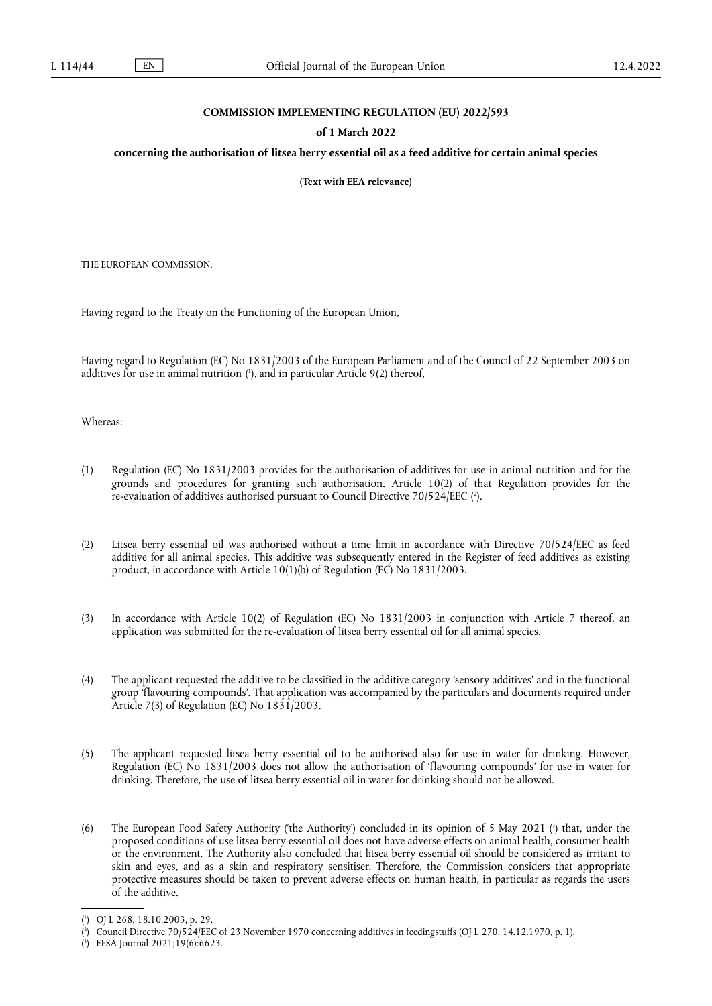## **COMMISSION IMPLEMENTING REGULATION (EU) 2022/593**

## **of 1 March 2022**

## **concerning the authorisation of litsea berry essential oil as a feed additive for certain animal species**

**(Text with EEA relevance)** 

THE EUROPEAN COMMISSION,

Having regard to the Treaty on the Functioning of the European Union,

<span id="page-0-3"></span>Having regard to Regulation (EC) No 1831/2003 of the European Parliament and of the Council of 22 September 2003 on additives for use in animal nutrition ( 1 [\),](#page-0-0) and in particular Article 9(2) thereof,

Whereas:

- <span id="page-0-4"></span>(1) Regulation (EC) No 1831/2003 provides for the authorisation of additives for use in animal nutrition and for the grounds and procedures for granting such authorisation. Article 10(2) of that Regulation provides for the re-evaluation of additives authorised pursuant to Council Directive 70/524/EEC [\(](#page-0-1) 2 ).
- (2) Litsea berry essential oil was authorised without a time limit in accordance with Directive 70/524/EEC as feed additive for all animal species. This additive was subsequently entered in the Register of feed additives as existing product, in accordance with Article 10(1)(b) of Regulation (EC) No 1831/2003.
- (3) In accordance with Article 10(2) of Regulation (EC) No 1831/2003 in conjunction with Article 7 thereof, an application was submitted for the re-evaluation of litsea berry essential oil for all animal species.
- (4) The applicant requested the additive to be classified in the additive category 'sensory additives' and in the functional group 'flavouring compounds'. That application was accompanied by the particulars and documents required under Article 7(3) of Regulation (EC) No 1831/2003.
- (5) The applicant requested litsea berry essential oil to be authorised also for use in water for drinking. However, Regulation (EC) No 1831/2003 does not allow the authorisation of 'flavouring compounds' for use in water for drinking. Therefore, the use of litsea berry essential oil in water for drinking should not be allowed.
- <span id="page-0-5"></span>(6) The European Food Safety Authority ('the Authority') concluded in its opinion of 5 May 2021 ( 3 [\)](#page-0-2) that, under the proposed conditions of use litsea berry essential oil does not have adverse effects on animal health, consumer health or the environment. The Authority also concluded that litsea berry essential oil should be considered as irritant to skin and eyes, and as a skin and respiratory sensitiser. Therefore, the Commission considers that appropriate protective measures should be taken to prevent adverse effects on human health, in particular as regards the users of the additive.

<span id="page-0-0"></span>[<sup>\(</sup>](#page-0-3) 1 ) OJ L 268, 18.10.2003, p. 29.

<span id="page-0-1"></span>[<sup>\(</sup>](#page-0-4) 2 ) Council Directive 70/524/EEC of 23 November 1970 concerning additives in feedingstuffs (OJ L 270, 14.12.1970, p. 1).

<span id="page-0-2"></span><sup>(</sup> 3 [\)](#page-0-5) EFSA Journal 2021;19(6):6623.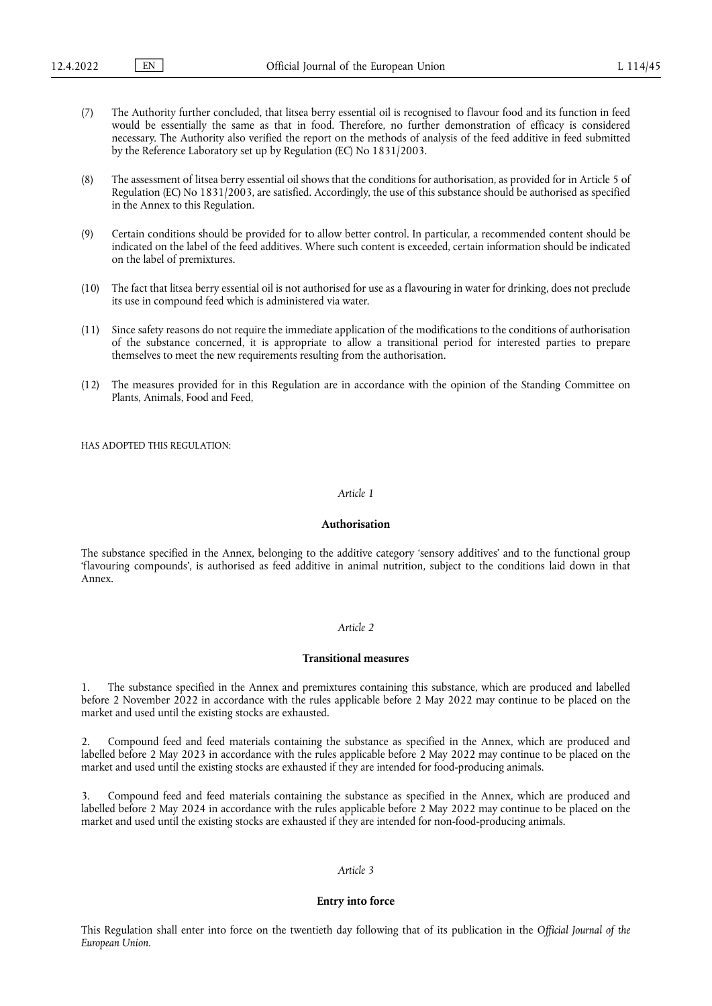- (7) The Authority further concluded, that litsea berry essential oil is recognised to flavour food and its function in feed would be essentially the same as that in food. Therefore, no further demonstration of efficacy is considered necessary. The Authority also verified the report on the methods of analysis of the feed additive in feed submitted by the Reference Laboratory set up by Regulation (EC) No 1831/2003.
- (8) The assessment of litsea berry essential oil shows that the conditions for authorisation, as provided for in Article 5 of Regulation (EC) No 1831/2003, are satisfied. Accordingly, the use of this substance should be authorised as specified in the Annex to this Regulation.
- (9) Certain conditions should be provided for to allow better control. In particular, a recommended content should be indicated on the label of the feed additives. Where such content is exceeded, certain information should be indicated on the label of premixtures.
- (10) The fact that litsea berry essential oil is not authorised for use as a flavouring in water for drinking, does not preclude its use in compound feed which is administered via water.
- (11) Since safety reasons do not require the immediate application of the modifications to the conditions of authorisation of the substance concerned, it is appropriate to allow a transitional period for interested parties to prepare themselves to meet the new requirements resulting from the authorisation.
- (12) The measures provided for in this Regulation are in accordance with the opinion of the Standing Committee on Plants, Animals, Food and Feed,

HAS ADOPTED THIS REGULATION:

## *Article 1*

## **Authorisation**

The substance specified in the Annex, belonging to the additive category 'sensory additives' and to the functional group 'flavouring compounds', is authorised as feed additive in animal nutrition, subject to the conditions laid down in that Annex.

### *Article 2*

### **Transitional measures**

1. The substance specified in the Annex and premixtures containing this substance, which are produced and labelled before 2 November 2022 in accordance with the rules applicable before 2 May 2022 may continue to be placed on the market and used until the existing stocks are exhausted.

2. Compound feed and feed materials containing the substance as specified in the Annex, which are produced and labelled before 2 May 2023 in accordance with the rules applicable before 2 May 2022 may continue to be placed on the market and used until the existing stocks are exhausted if they are intended for food-producing animals.

3. Compound feed and feed materials containing the substance as specified in the Annex, which are produced and labelled before 2 May 2024 in accordance with the rules applicable before 2 May 2022 may continue to be placed on the market and used until the existing stocks are exhausted if they are intended for non-food-producing animals.

# *Article 3*

## **Entry into force**

This Regulation shall enter into force on the twentieth day following that of its publication in the *Official Journal of the European Union*.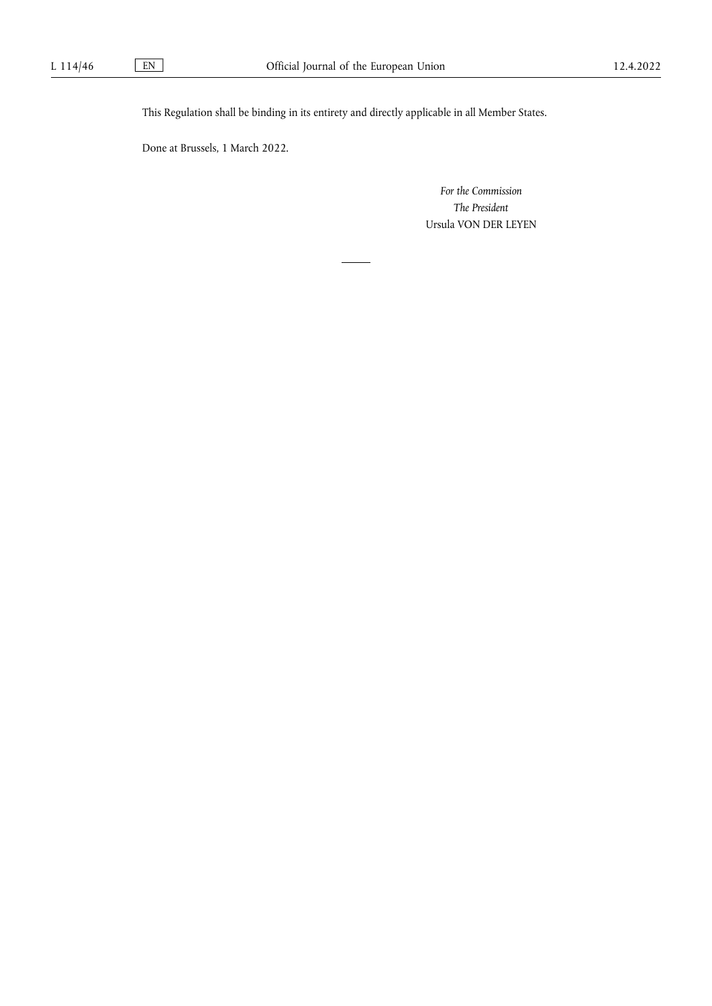This Regulation shall be binding in its entirety and directly applicable in all Member States.

Done at Brussels, 1 March 2022.

*For the Commission The President* Ursula VON DER LEYEN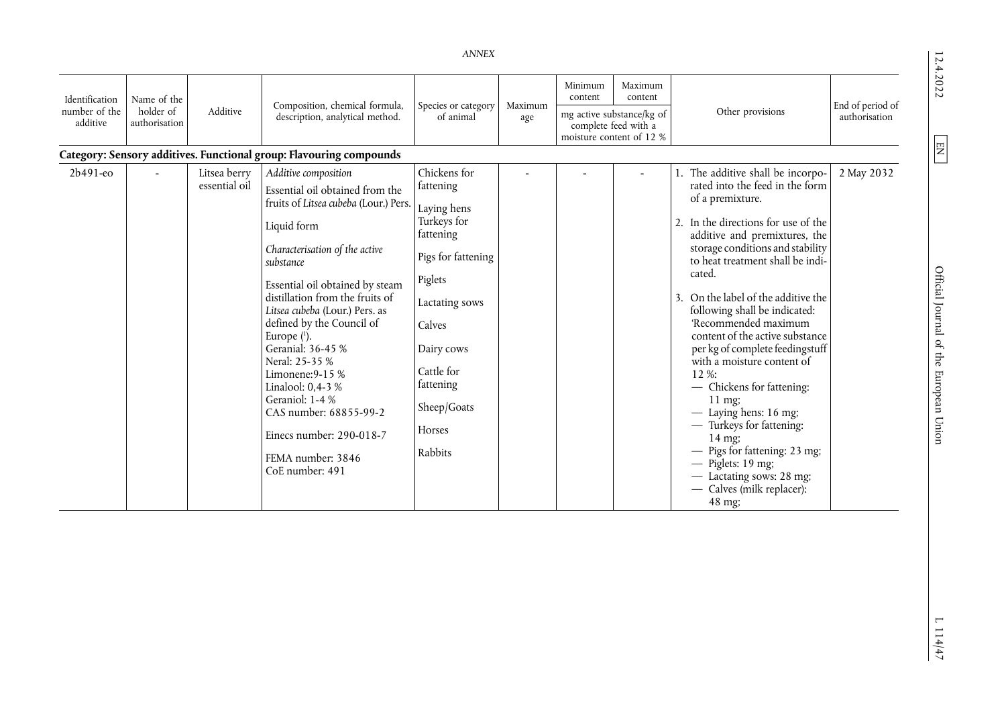$12.4.2022$ 

<span id="page-3-0"></span>*ANNEX* 

| Identification            | Name of the                |                               |                                                                                                                                                                                                                                                                                                                                                                                                                                                                                                                         |                                                                                                                                                                                                                |         | Minimum                                                                       |                    |                                                                                                                                                                                                                                                                                                                                                                                                                                                                                                                                                                                                                                                                                                      |                  |
|---------------------------|----------------------------|-------------------------------|-------------------------------------------------------------------------------------------------------------------------------------------------------------------------------------------------------------------------------------------------------------------------------------------------------------------------------------------------------------------------------------------------------------------------------------------------------------------------------------------------------------------------|----------------------------------------------------------------------------------------------------------------------------------------------------------------------------------------------------------------|---------|-------------------------------------------------------------------------------|--------------------|------------------------------------------------------------------------------------------------------------------------------------------------------------------------------------------------------------------------------------------------------------------------------------------------------------------------------------------------------------------------------------------------------------------------------------------------------------------------------------------------------------------------------------------------------------------------------------------------------------------------------------------------------------------------------------------------------|------------------|
|                           |                            |                               | Composition, chemical formula,                                                                                                                                                                                                                                                                                                                                                                                                                                                                                          | Species or category                                                                                                                                                                                            | Maximum | content                                                                       | Maximum<br>content |                                                                                                                                                                                                                                                                                                                                                                                                                                                                                                                                                                                                                                                                                                      | End of period of |
| number of the<br>additive | holder of<br>authorisation | Additive                      | description, analytical method.                                                                                                                                                                                                                                                                                                                                                                                                                                                                                         | of animal                                                                                                                                                                                                      | age     | mg active substance/kg of<br>complete feed with a<br>moisture content of 12 % |                    | Other provisions                                                                                                                                                                                                                                                                                                                                                                                                                                                                                                                                                                                                                                                                                     | authorisation    |
|                           |                            |                               | Category: Sensory additives. Functional group: Flavouring compounds                                                                                                                                                                                                                                                                                                                                                                                                                                                     |                                                                                                                                                                                                                |         |                                                                               |                    |                                                                                                                                                                                                                                                                                                                                                                                                                                                                                                                                                                                                                                                                                                      |                  |
| $2b491-e0$                |                            | Litsea berry<br>essential oil | Additive composition<br>Essential oil obtained from the<br>fruits of Litsea cubeba (Lour.) Pers.<br>Liquid form<br>Characterisation of the active<br>substance<br>Essential oil obtained by steam<br>distillation from the fruits of<br>Litsea cubeba (Lour.) Pers. as<br>defined by the Council of<br>Europe $(1)$ .<br>Geranial: 36-45 %<br>Neral: 25-35 %<br>Limonene: $9-15%$<br>Linalool: 0,4-3 %<br>Geraniol: 1-4 %<br>CAS number: 68855-99-2<br>Einecs number: 290-018-7<br>FEMA number: 3846<br>CoE number: 491 | Chickens for<br>fattening<br>Laying hens<br>Turkeys for<br>fattening<br>Pigs for fattening<br>Piglets<br>Lactating sows<br>Calves<br>Dairy cows<br>Cattle for<br>fattening<br>Sheep/Goats<br>Horses<br>Rabbits |         |                                                                               |                    | 1. The additive shall be incorpo-<br>rated into the feed in the form<br>of a premixture.<br>2. In the directions for use of the<br>additive and premixtures, the<br>storage conditions and stability<br>to heat treatment shall be indi-<br>cated.<br>On the label of the additive the<br>following shall be indicated:<br>'Recommended maximum<br>content of the active substance<br>per kg of complete feedingstuff<br>with a moisture content of<br>12%:<br>- Chickens for fattening:<br>$11 \text{ mg}$<br>$-$ Laying hens: 16 mg;<br>- Turkeys for fattening:<br>14 mg;<br>- Pigs for fattening: 23 mg;<br>$-$ Piglets: 19 mg;<br>- Lactating sows: 28 mg;<br>Calves (milk replacer):<br>48 mg; | 2 May 2032       |